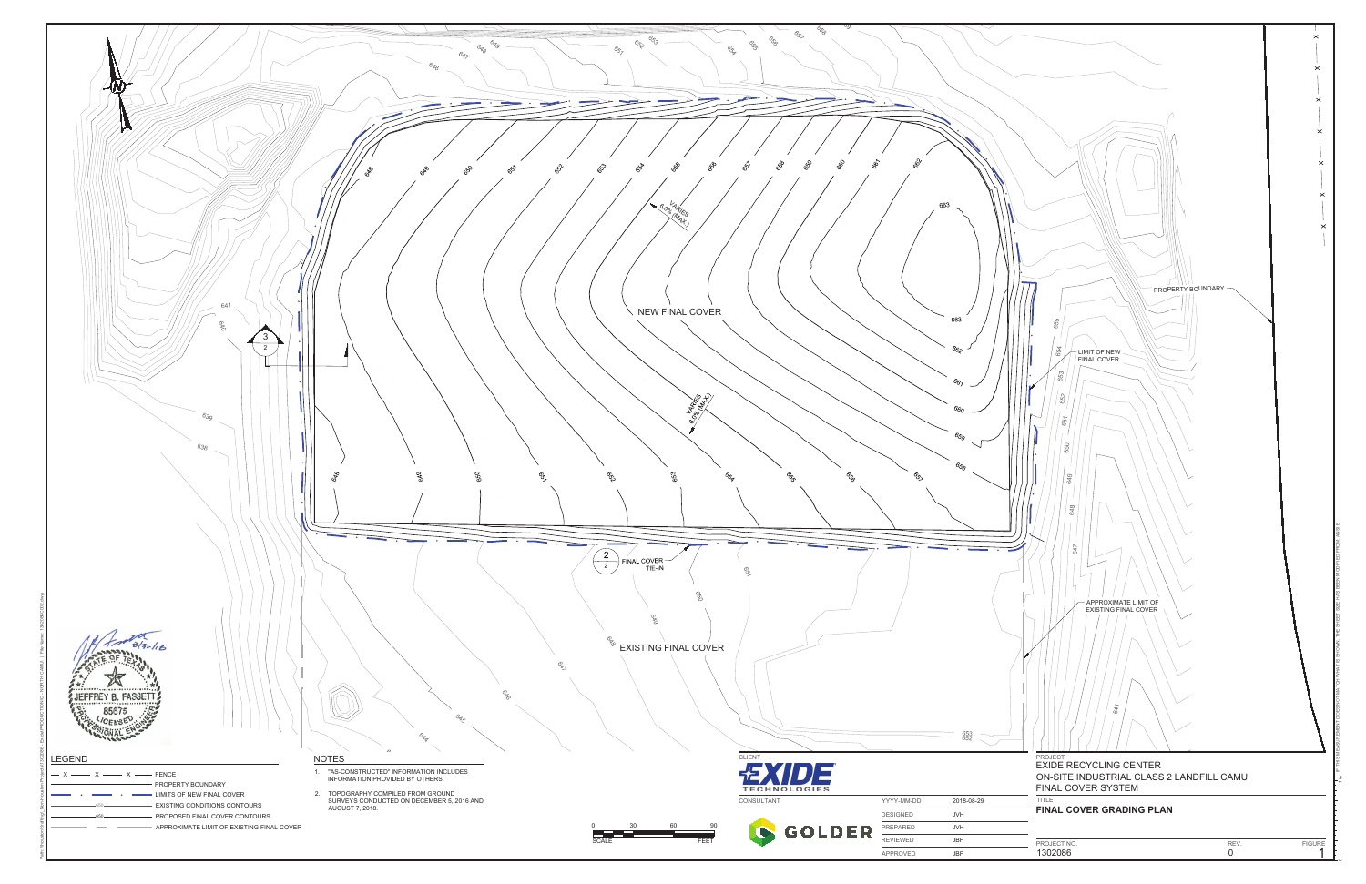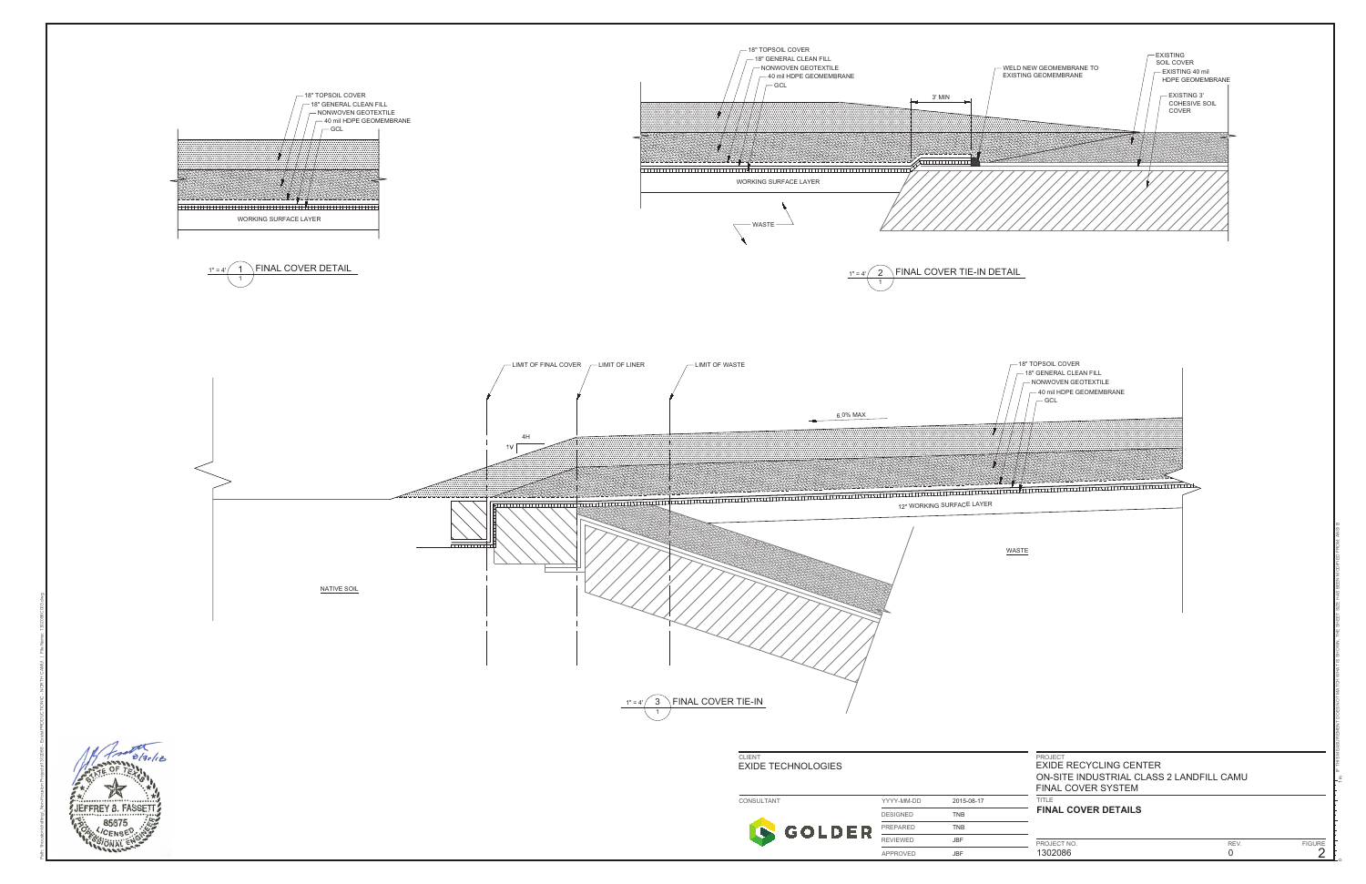

1 in

IF THIS MEASUREMENT DOES NOT MATCH WHAT IS SHOWN, THE SHEET SIZE HAS BEEN MODIFIED FROM: ANSI B

Path: \\houston\drafting\\_Non-Houston Projects\1302086 - Exide\PRODUCTION\C - NORTH CAMU\ | File Name: 1302086C003.dwg

|       | 18" TOPSOIL COVER<br>18" GENERAL CLEAN FILL<br>NONWOVEN GEOTEXTILE<br>40 mil HDPE GEOMEMBRANE<br>- GCL |  |
|-------|--------------------------------------------------------------------------------------------------------|--|
|       | 11 11 11 11 11 11<br>┯┱┯┯┱                                                                             |  |
| WASTE |                                                                                                        |  |
|       | PROJECT<br><b>EXIDE RECYCLING CENTER</b><br>ON-SITE INDUSTRIAL CLASS 2 LAND<br>FINAL COVER SYSTEM      |  |
|       | TITLE<br><b>FINAL COVER DETAILS</b>                                                                    |  |

| CT NO. |  |
|--------|--|
| 086    |  |
|        |  |

REV. FIGURE<br>0 2